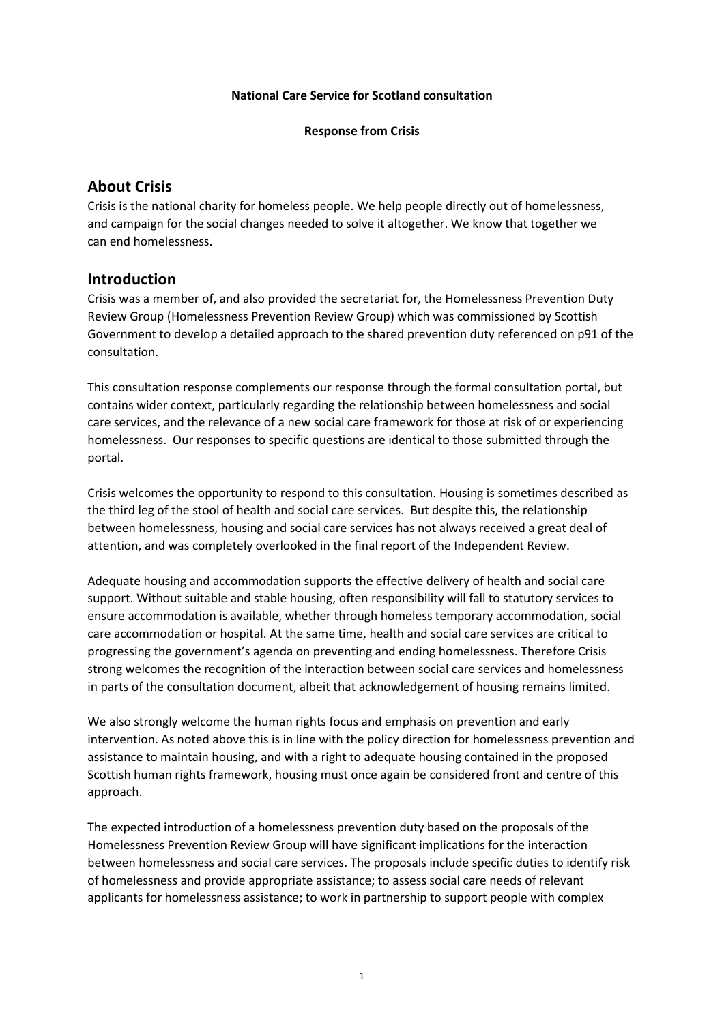#### **National Care Service for Scotland consultation**

**Response from Crisis**

# **About Crisis**

Crisis is the national charity for homeless people. We help people directly out of homelessness, and campaign for the social changes needed to solve it altogether. We know that together we can end homelessness.

# **Introduction**

Crisis was a member of, and also provided the secretariat for, the Homelessness Prevention Duty Review Group (Homelessness Prevention Review Group) which was commissioned by Scottish Government to develop a detailed approach to the shared prevention duty referenced on p91 of the consultation.

This consultation response complements our response through the formal consultation portal, but contains wider context, particularly regarding the relationship between homelessness and social care services, and the relevance of a new social care framework for those at risk of or experiencing homelessness. Our responses to specific questions are identical to those submitted through the portal.

Crisis welcomes the opportunity to respond to this consultation. Housing is sometimes described as the third leg of the stool of health and social care services. But despite this, the relationship between homelessness, housing and social care services has not always received a great deal of attention, and was completely overlooked in the final report of the Independent Review.

Adequate housing and accommodation supports the effective delivery of health and social care support. Without suitable and stable housing, often responsibility will fall to statutory services to ensure accommodation is available, whether through homeless temporary accommodation, social care accommodation or hospital. At the same time, health and social care services are critical to progressing the government's agenda on preventing and ending homelessness. Therefore Crisis strong welcomes the recognition of the interaction between social care services and homelessness in parts of the consultation document, albeit that acknowledgement of housing remains limited.

We also strongly welcome the human rights focus and emphasis on prevention and early intervention. As noted above this is in line with the policy direction for homelessness prevention and assistance to maintain housing, and with a right to adequate housing contained in the proposed Scottish human rights framework, housing must once again be considered front and centre of this approach.

The expected introduction of a homelessness prevention duty based on the proposals of the Homelessness Prevention Review Group will have significant implications for the interaction between homelessness and social care services. The proposals include specific duties to identify risk of homelessness and provide appropriate assistance; to assess social care needs of relevant applicants for homelessness assistance; to work in partnership to support people with complex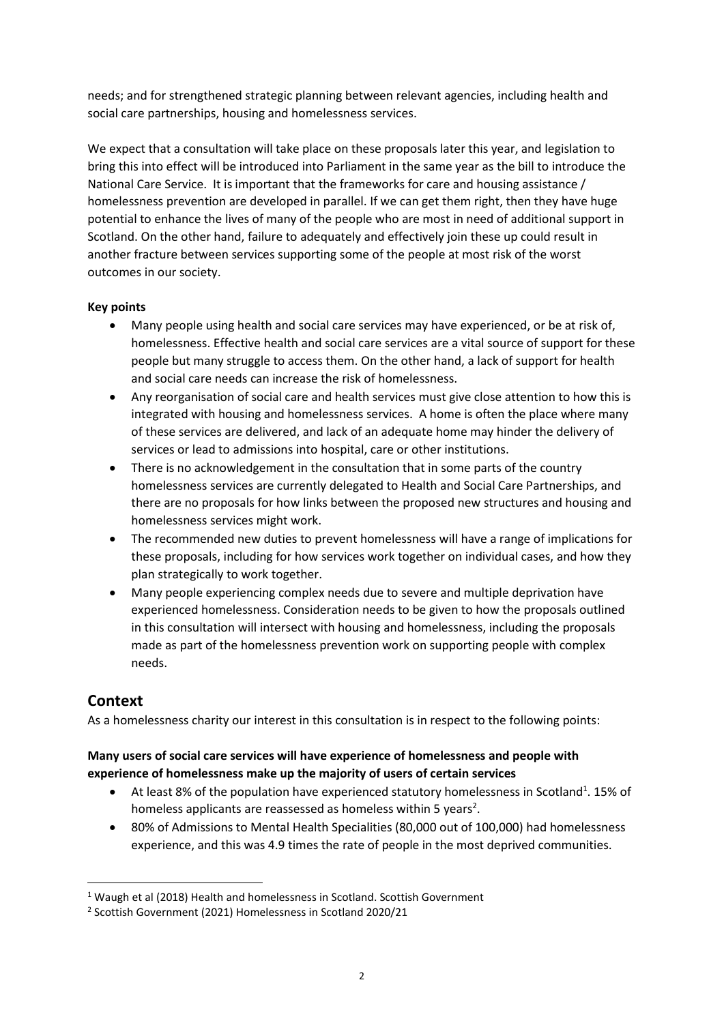needs; and for strengthened strategic planning between relevant agencies, including health and social care partnerships, housing and homelessness services.

We expect that a consultation will take place on these proposals later this year, and legislation to bring this into effect will be introduced into Parliament in the same year as the bill to introduce the National Care Service. It is important that the frameworks for care and housing assistance / homelessness prevention are developed in parallel. If we can get them right, then they have huge potential to enhance the lives of many of the people who are most in need of additional support in Scotland. On the other hand, failure to adequately and effectively join these up could result in another fracture between services supporting some of the people at most risk of the worst outcomes in our society.

### **Key points**

- Many people using health and social care services may have experienced, or be at risk of, homelessness. Effective health and social care services are a vital source of support for these people but many struggle to access them. On the other hand, a lack of support for health and social care needs can increase the risk of homelessness.
- Any reorganisation of social care and health services must give close attention to how this is integrated with housing and homelessness services. A home is often the place where many of these services are delivered, and lack of an adequate home may hinder the delivery of services or lead to admissions into hospital, care or other institutions.
- There is no acknowledgement in the consultation that in some parts of the country homelessness services are currently delegated to Health and Social Care Partnerships, and there are no proposals for how links between the proposed new structures and housing and homelessness services might work.
- The recommended new duties to prevent homelessness will have a range of implications for these proposals, including for how services work together on individual cases, and how they plan strategically to work together.
- Many people experiencing complex needs due to severe and multiple deprivation have experienced homelessness. Consideration needs to be given to how the proposals outlined in this consultation will intersect with housing and homelessness, including the proposals made as part of the homelessness prevention work on supporting people with complex needs.

# **Context**

As a homelessness charity our interest in this consultation is in respect to the following points:

# **Many users of social care services will have experience of homelessness and people with experience of homelessness make up the majority of users of certain services**

- At least 8% of the population have experienced statutory homelessness in Scotland<sup>1</sup>. 15% of homeless applicants are reassessed as homeless within 5 years<sup>2</sup>.
- 80% of Admissions to Mental Health Specialities (80,000 out of 100,000) had homelessness experience, and this was 4.9 times the rate of people in the most deprived communities.

<sup>&</sup>lt;sup>1</sup> Waugh et al (2018) Health and homelessness in Scotland. Scottish Government

<sup>2</sup> Scottish Government (2021) Homelessness in Scotland 2020/21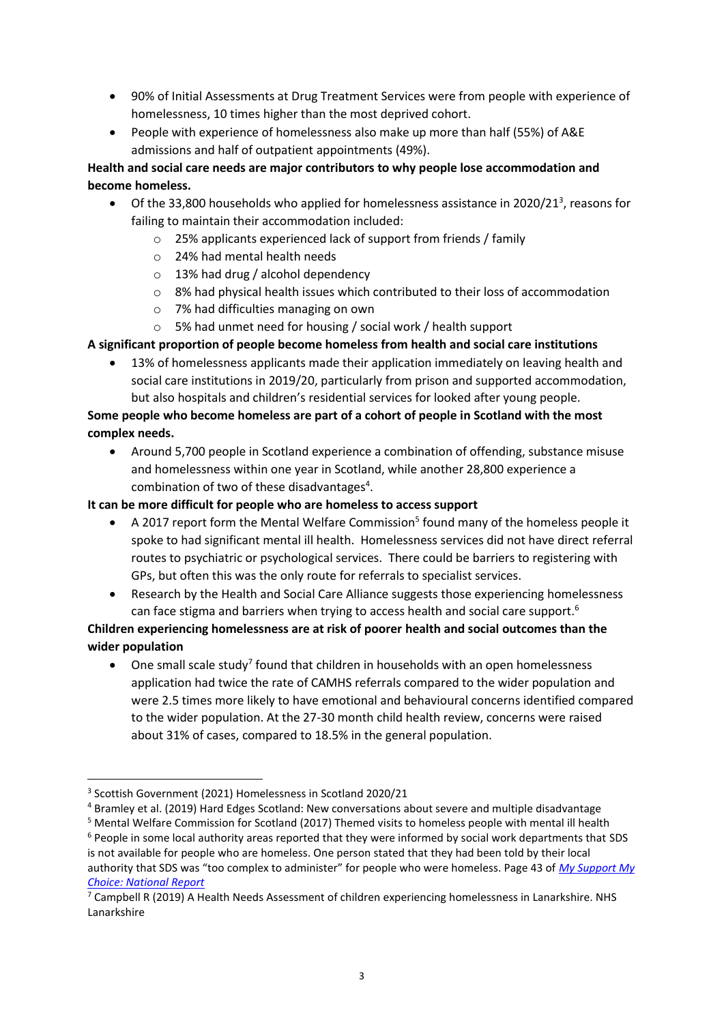- 90% of Initial Assessments at Drug Treatment Services were from people with experience of homelessness, 10 times higher than the most deprived cohort.
- People with experience of homelessness also make up more than half (55%) of A&E admissions and half of outpatient appointments (49%).

# **Health and social care needs are major contributors to why people lose accommodation and become homeless.**

- $\bullet$  Of the 33,800 households who applied for homelessness assistance in 2020/21<sup>3</sup>, reasons for failing to maintain their accommodation included:
	- o 25% applicants experienced lack of support from friends / family
	- o 24% had mental health needs
	- o 13% had drug / alcohol dependency
	- $\circ$  8% had physical health issues which contributed to their loss of accommodation
	- o 7% had difficulties managing on own
	- o 5% had unmet need for housing / social work / health support

### **A significant proportion of people become homeless from health and social care institutions**

• 13% of homelessness applicants made their application immediately on leaving health and social care institutions in 2019/20, particularly from prison and supported accommodation, but also hospitals and children's residential services for looked after young people.

# **Some people who become homeless are part of a cohort of people in Scotland with the most complex needs.**

• Around 5,700 people in Scotland experience a combination of offending, substance misuse and homelessness within one year in Scotland, while another 28,800 experience a combination of two of these disadvantages<sup>4</sup>.

### **It can be more difficult for people who are homeless to access support**

- A 2017 report form the Mental Welfare Commission<sup>5</sup> found many of the homeless people it spoke to had significant mental ill health. Homelessness services did not have direct referral routes to psychiatric or psychological services. There could be barriers to registering with GPs, but often this was the only route for referrals to specialist services.
- Research by the Health and Social Care Alliance suggests those experiencing homelessness can face stigma and barriers when trying to access health and social care support.<sup>6</sup>

**Children experiencing homelessness are at risk of poorer health and social outcomes than the wider population**

• One small scale study<sup>7</sup> found that children in households with an open homelessness application had twice the rate of CAMHS referrals compared to the wider population and were 2.5 times more likely to have emotional and behavioural concerns identified compared to the wider population. At the 27-30 month child health review, concerns were raised about 31% of cases, compared to 18.5% in the general population.

<sup>6</sup> People in some local authority areas reported that they were informed by social work departments that SDS

is not available for people who are homeless. One person stated that they had been told by their local authority that SDS was "too complex to administer" for people who were homeless. Page 43 of *[My Support My](https://www.alliance-scotland.org.uk/health-and-social-care-integration/wp-content/uploads/2020/10/ALLIANCE-SDSS-MSMC-National-Report-Oct-2020.pdf)  [Choice: National Report](https://www.alliance-scotland.org.uk/health-and-social-care-integration/wp-content/uploads/2020/10/ALLIANCE-SDSS-MSMC-National-Report-Oct-2020.pdf)*

<sup>3</sup> Scottish Government (2021) Homelessness in Scotland 2020/21

<sup>4</sup> Bramley et al. (2019) Hard Edges Scotland: New conversations about severe and multiple disadvantage

<sup>5</sup> Mental Welfare Commission for Scotland (2017) Themed visits to homeless people with mental ill health

 $7$  Campbell R (2019) A Health Needs Assessment of children experiencing homelessness in Lanarkshire. NHS Lanarkshire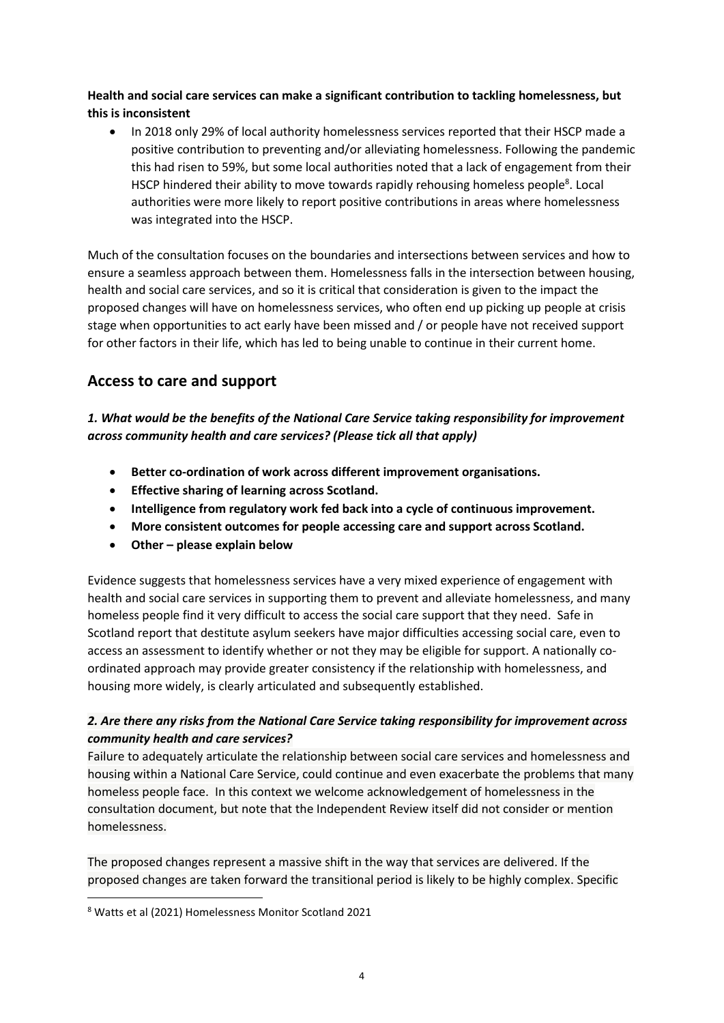### **Health and social care services can make a significant contribution to tackling homelessness, but this is inconsistent**

• In 2018 only 29% of local authority homelessness services reported that their HSCP made a positive contribution to preventing and/or alleviating homelessness. Following the pandemic this had risen to 59%, but some local authorities noted that a lack of engagement from their HSCP hindered their ability to move towards rapidly rehousing homeless people<sup>8</sup>. Local authorities were more likely to report positive contributions in areas where homelessness was integrated into the HSCP.

Much of the consultation focuses on the boundaries and intersections between services and how to ensure a seamless approach between them. Homelessness falls in the intersection between housing, health and social care services, and so it is critical that consideration is given to the impact the proposed changes will have on homelessness services, who often end up picking up people at crisis stage when opportunities to act early have been missed and / or people have not received support for other factors in their life, which has led to being unable to continue in their current home.

# **Access to care and support**

# *1. What would be the benefits of the National Care Service taking responsibility for improvement across community health and care services? (Please tick all that apply)*

- **Better co-ordination of work across different improvement organisations.**
- **Effective sharing of learning across Scotland.**
- **Intelligence from regulatory work fed back into a cycle of continuous improvement.**
- **More consistent outcomes for people accessing care and support across Scotland.**
- **Other – please explain below**

Evidence suggests that homelessness services have a very mixed experience of engagement with health and social care services in supporting them to prevent and alleviate homelessness, and many homeless people find it very difficult to access the social care support that they need. Safe in Scotland report that destitute asylum seekers have major difficulties accessing social care, even to access an assessment to identify whether or not they may be eligible for support. A nationally coordinated approach may provide greater consistency if the relationship with homelessness, and housing more widely, is clearly articulated and subsequently established.

# *2. Are there any risks from the National Care Service taking responsibility for improvement across community health and care services?*

Failure to adequately articulate the relationship between social care services and homelessness and housing within a National Care Service, could continue and even exacerbate the problems that many homeless people face. In this context we welcome acknowledgement of homelessness in the consultation document, but note that the Independent Review itself did not consider or mention homelessness.

The proposed changes represent a massive shift in the way that services are delivered. If the proposed changes are taken forward the transitional period is likely to be highly complex. Specific

<sup>8</sup> Watts et al (2021) Homelessness Monitor Scotland 2021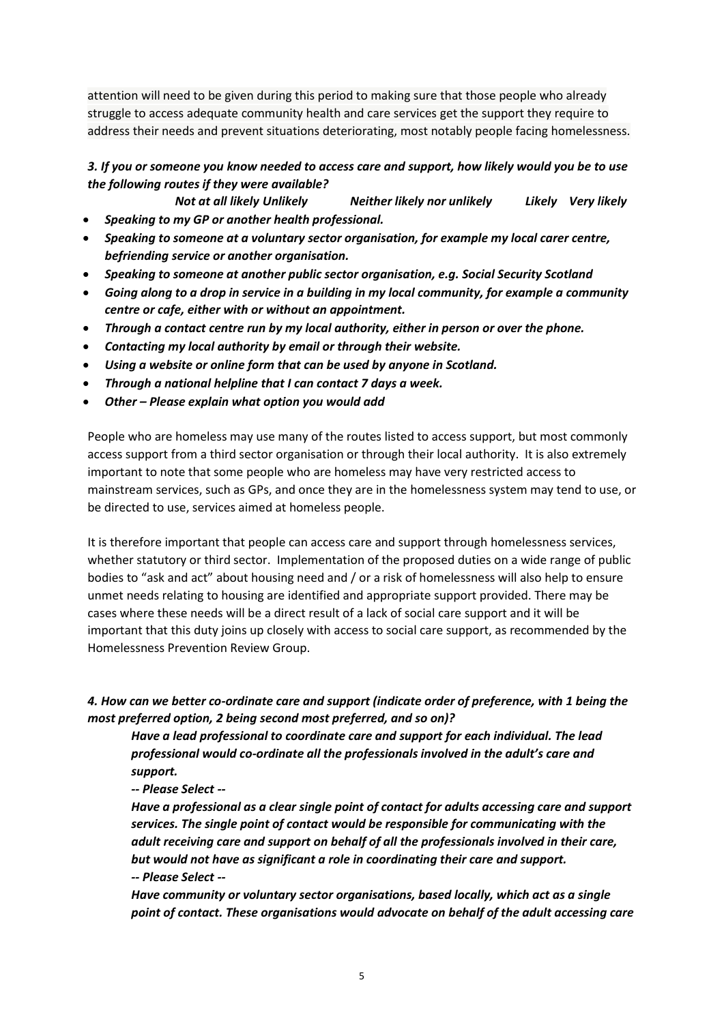attention will need to be given during this period to making sure that those people who already struggle to access adequate community health and care services get the support they require to address their needs and prevent situations deteriorating, most notably people facing homelessness.

# *3. If you or someone you know needed to access care and support, how likely would you be to use the following routes if they were available?*

*Not at all likely Unlikely Neither likely nor unlikely Likely Very likely* • *Speaking to my GP or another health professional.*

- *Speaking to someone at a voluntary sector organisation, for example my local carer centre, befriending service or another organisation.*
- *Speaking to someone at another public sector organisation, e.g. Social Security Scotland*
- *Going along to a drop in service in a building in my local community, for example a community centre or cafe, either with or without an appointment.*
- *Through a contact centre run by my local authority, either in person or over the phone.*
- *Contacting my local authority by email or through their website.*
- *Using a website or online form that can be used by anyone in Scotland.*
- *Through a national helpline that I can contact 7 days a week.*
- *Other – Please explain what option you would add*

People who are homeless may use many of the routes listed to access support, but most commonly access support from a third sector organisation or through their local authority. It is also extremely important to note that some people who are homeless may have very restricted access to mainstream services, such as GPs, and once they are in the homelessness system may tend to use, or be directed to use, services aimed at homeless people.

It is therefore important that people can access care and support through homelessness services, whether statutory or third sector. Implementation of the proposed duties on a wide range of public bodies to "ask and act" about housing need and / or a risk of homelessness will also help to ensure unmet needs relating to housing are identified and appropriate support provided. There may be cases where these needs will be a direct result of a lack of social care support and it will be important that this duty joins up closely with access to social care support, as recommended by the Homelessness Prevention Review Group.

# *4. How can we better co-ordinate care and support (indicate order of preference, with 1 being the most preferred option, 2 being second most preferred, and so on)?*

*Have a lead professional to coordinate care and support for each individual. The lead professional would co-ordinate all the professionals involved in the adult's care and support.* 

*-- Please Select --*

*Have a professional as a clear single point of contact for adults accessing care and support services. The single point of contact would be responsible for communicating with the adult receiving care and support on behalf of all the professionals involved in their care, but would not have as significant a role in coordinating their care and support. -- Please Select --*

*Have community or voluntary sector organisations, based locally, which act as a single point of contact. These organisations would advocate on behalf of the adult accessing care*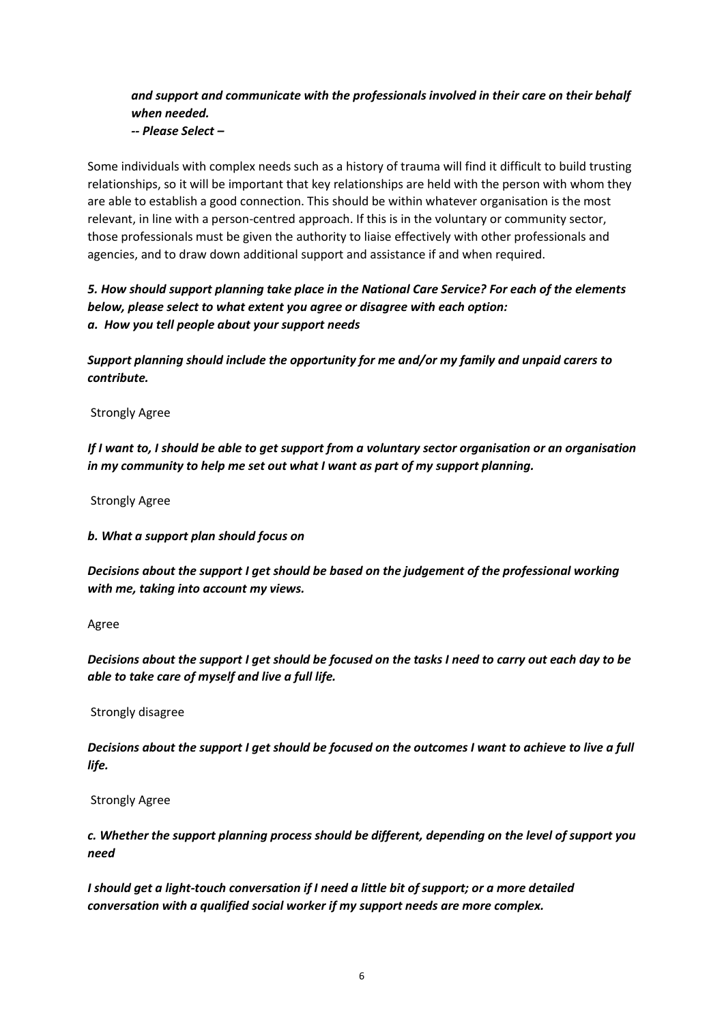# *and support and communicate with the professionals involved in their care on their behalf when needed.*

*-- Please Select –*

Some individuals with complex needs such as a history of trauma will find it difficult to build trusting relationships, so it will be important that key relationships are held with the person with whom they are able to establish a good connection. This should be within whatever organisation is the most relevant, in line with a person-centred approach. If this is in the voluntary or community sector, those professionals must be given the authority to liaise effectively with other professionals and agencies, and to draw down additional support and assistance if and when required.

*5. How should support planning take place in the National Care Service? For each of the elements below, please select to what extent you agree or disagree with each option: a. How you tell people about your support needs*

*Support planning should include the opportunity for me and/or my family and unpaid carers to contribute.*

Strongly Agree

*If I want to, I should be able to get support from a voluntary sector organisation or an organisation in my community to help me set out what I want as part of my support planning.*

Strongly Agree

*b. What a support plan should focus on*

*Decisions about the support I get should be based on the judgement of the professional working with me, taking into account my views.*

Agree

*Decisions about the support I get should be focused on the tasks I need to carry out each day to be able to take care of myself and live a full life.*

Strongly disagree

*Decisions about the support I get should be focused on the outcomes I want to achieve to live a full life.*

Strongly Agree

*c. Whether the support planning process should be different, depending on the level of support you need*

*I should get a light-touch conversation if I need a little bit of support; or a more detailed conversation with a qualified social worker if my support needs are more complex.*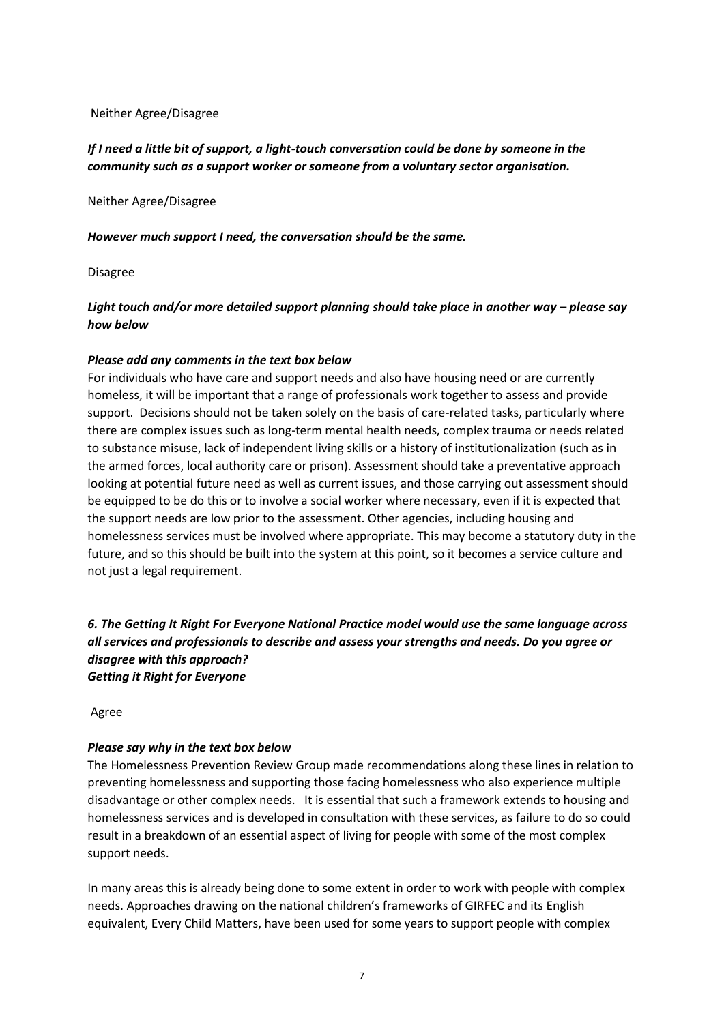#### Neither Agree/Disagree

### *If I need a little bit of support, a light-touch conversation could be done by someone in the community such as a support worker or someone from a voluntary sector organisation.*

Neither Agree/Disagree

*However much support I need, the conversation should be the same.*

Disagree

### *Light touch and/or more detailed support planning should take place in another way – please say how below*

#### *Please add any comments in the text box below*

For individuals who have care and support needs and also have housing need or are currently homeless, it will be important that a range of professionals work together to assess and provide support. Decisions should not be taken solely on the basis of care-related tasks, particularly where there are complex issues such as long-term mental health needs, complex trauma or needs related to substance misuse, lack of independent living skills or a history of institutionalization (such as in the armed forces, local authority care or prison). Assessment should take a preventative approach looking at potential future need as well as current issues, and those carrying out assessment should be equipped to be do this or to involve a social worker where necessary, even if it is expected that the support needs are low prior to the assessment. Other agencies, including housing and homelessness services must be involved where appropriate. This may become a statutory duty in the future, and so this should be built into the system at this point, so it becomes a service culture and not just a legal requirement.

*6. The Getting It Right For Everyone National Practice model would use the same language across all services and professionals to describe and assess your strengths and needs. Do you agree or disagree with this approach? Getting it Right for Everyone*

Agree

#### *Please say why in the text box below*

The Homelessness Prevention Review Group made recommendations along these lines in relation to preventing homelessness and supporting those facing homelessness who also experience multiple disadvantage or other complex needs. It is essential that such a framework extends to housing and homelessness services and is developed in consultation with these services, as failure to do so could result in a breakdown of an essential aspect of living for people with some of the most complex support needs.

In many areas this is already being done to some extent in order to work with people with complex needs. Approaches drawing on the national children's frameworks of GIRFEC and its English equivalent, Every Child Matters, have been used for some years to support people with complex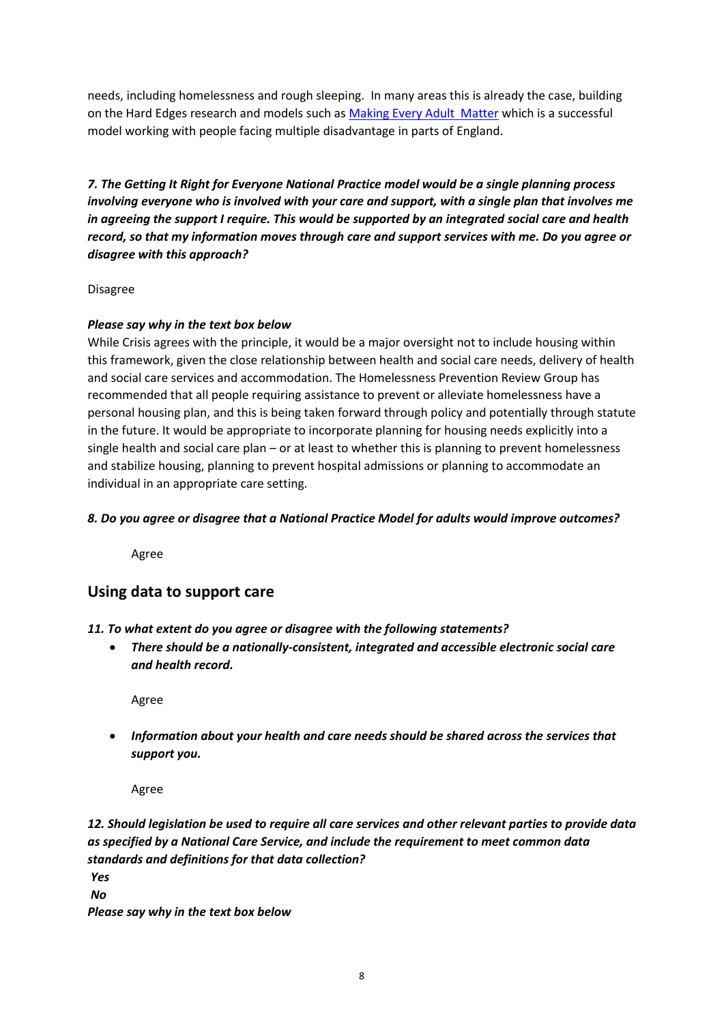needs, including homelessness and rough sleeping. In many areas this is already the case, building on the Hard Edges research and models such as [Making Every Adult Matter](http://meam.org.uk/) which is a successful model working with people facing multiple disadvantage in parts of England.

*7. The Getting It Right for Everyone National Practice model would be a single planning process involving everyone who is involved with your care and support, with a single plan that involves me in agreeing the support I require. This would be supported by an integrated social care and health record, so that my information moves through care and support services with me. Do you agree or disagree with this approach?*

#### Disagree

#### *Please say why in the text box below*

While Crisis agrees with the principle, it would be a major oversight not to include housing within this framework, given the close relationship between health and social care needs, delivery of health and social care services and accommodation. The Homelessness Prevention Review Group has recommended that all people requiring assistance to prevent or alleviate homelessness have a personal housing plan, and this is being taken forward through policy and potentially through statute in the future. It would be appropriate to incorporate planning for housing needs explicitly into a single health and social care plan – or at least to whether this is planning to prevent homelessness and stabilize housing, planning to prevent hospital admissions or planning to accommodate an individual in an appropriate care setting.

#### *8. Do you agree or disagree that a National Practice Model for adults would improve outcomes?*

Agree

# **Using data to support care**

#### *11. To what extent do you agree or disagree with the following statements?*

• *There should be a nationally-consistent, integrated and accessible electronic social care and health record.*

Agree

• *Information about your health and care needs should be shared across the services that support you.*

Agree

# *12. Should legislation be used to require all care services and other relevant parties to provide data as specified by a National Care Service, and include the requirement to meet common data standards and definitions for that data collection?*

*Yes*

*No*

*Please say why in the text box below*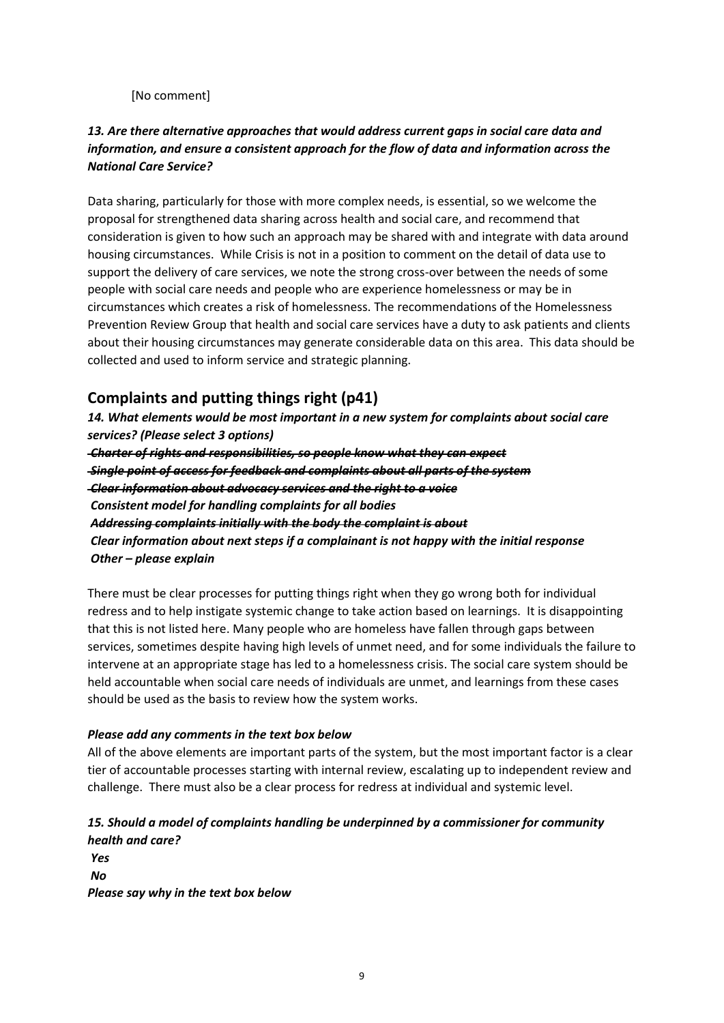[No comment]

## *13. Are there alternative approaches that would address current gaps in social care data and information, and ensure a consistent approach for the flow of data and information across the National Care Service?*

Data sharing, particularly for those with more complex needs, is essential, so we welcome the proposal for strengthened data sharing across health and social care, and recommend that consideration is given to how such an approach may be shared with and integrate with data around housing circumstances. While Crisis is not in a position to comment on the detail of data use to support the delivery of care services, we note the strong cross-over between the needs of some people with social care needs and people who are experience homelessness or may be in circumstances which creates a risk of homelessness. The recommendations of the Homelessness Prevention Review Group that health and social care services have a duty to ask patients and clients about their housing circumstances may generate considerable data on this area. This data should be collected and used to inform service and strategic planning.

# **Complaints and putting things right (p41)**

*14. What elements would be most important in a new system for complaints about social care services? (Please select 3 options)*

*Charter of rights and responsibilities, so people know what they can expect Single point of access for feedback and complaints about all parts of the system Clear information about advocacy services and the right to a voice Consistent model for handling complaints for all bodies Addressing complaints initially with the body the complaint is about Clear information about next steps if a complainant is not happy with the initial response Other – please explain*

There must be clear processes for putting things right when they go wrong both for individual redress and to help instigate systemic change to take action based on learnings. It is disappointing that this is not listed here. Many people who are homeless have fallen through gaps between services, sometimes despite having high levels of unmet need, and for some individuals the failure to intervene at an appropriate stage has led to a homelessness crisis. The social care system should be held accountable when social care needs of individuals are unmet, and learnings from these cases should be used as the basis to review how the system works.

#### *Please add any comments in the text box below*

All of the above elements are important parts of the system, but the most important factor is a clear tier of accountable processes starting with internal review, escalating up to independent review and challenge. There must also be a clear process for redress at individual and systemic level.

# *15. Should a model of complaints handling be underpinned by a commissioner for community health and care?*

*Yes No Please say why in the text box below*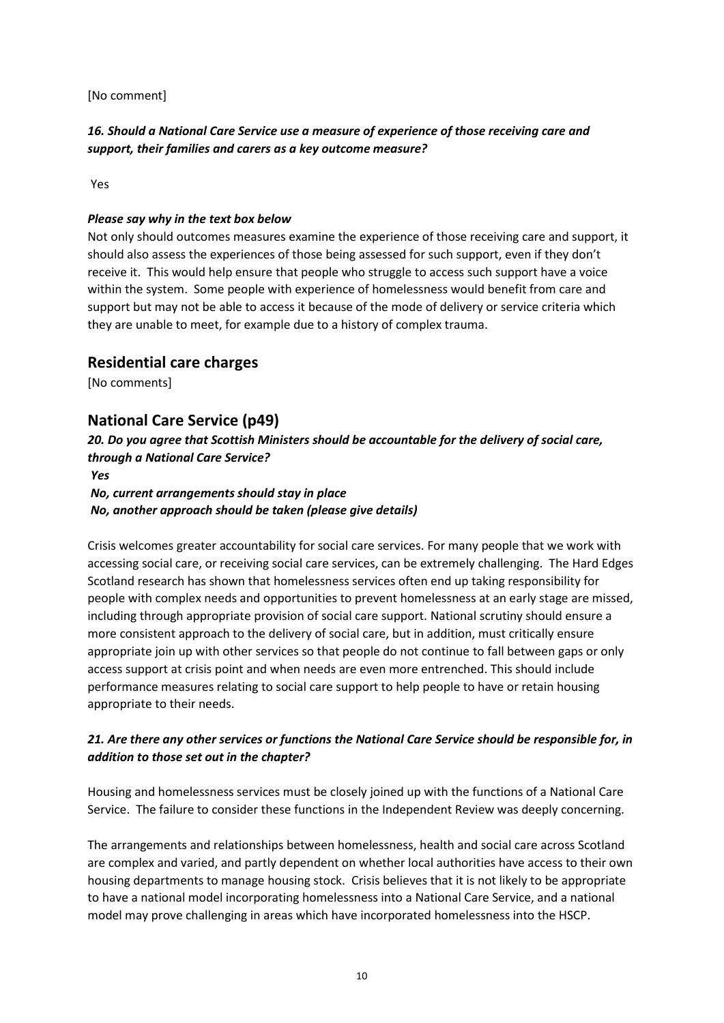[No comment]

# *16. Should a National Care Service use a measure of experience of those receiving care and support, their families and carers as a key outcome measure?*

Yes

#### *Please say why in the text box below*

Not only should outcomes measures examine the experience of those receiving care and support, it should also assess the experiences of those being assessed for such support, even if they don't receive it. This would help ensure that people who struggle to access such support have a voice within the system. Some people with experience of homelessness would benefit from care and support but may not be able to access it because of the mode of delivery or service criteria which they are unable to meet, for example due to a history of complex trauma.

### **Residential care charges**

[No comments]

# **National Care Service (p49)**

*20. Do you agree that Scottish Ministers should be accountable for the delivery of social care, through a National Care Service?*

#### *Yes No, current arrangements should stay in place No, another approach should be taken (please give details)*

Crisis welcomes greater accountability for social care services. For many people that we work with accessing social care, or receiving social care services, can be extremely challenging. The Hard Edges Scotland research has shown that homelessness services often end up taking responsibility for people with complex needs and opportunities to prevent homelessness at an early stage are missed, including through appropriate provision of social care support. National scrutiny should ensure a more consistent approach to the delivery of social care, but in addition, must critically ensure appropriate join up with other services so that people do not continue to fall between gaps or only access support at crisis point and when needs are even more entrenched. This should include performance measures relating to social care support to help people to have or retain housing appropriate to their needs.

# *21. Are there any other services or functions the National Care Service should be responsible for, in addition to those set out in the chapter?*

Housing and homelessness services must be closely joined up with the functions of a National Care Service. The failure to consider these functions in the Independent Review was deeply concerning.

The arrangements and relationships between homelessness, health and social care across Scotland are complex and varied, and partly dependent on whether local authorities have access to their own housing departments to manage housing stock. Crisis believes that it is not likely to be appropriate to have a national model incorporating homelessness into a National Care Service, and a national model may prove challenging in areas which have incorporated homelessness into the HSCP.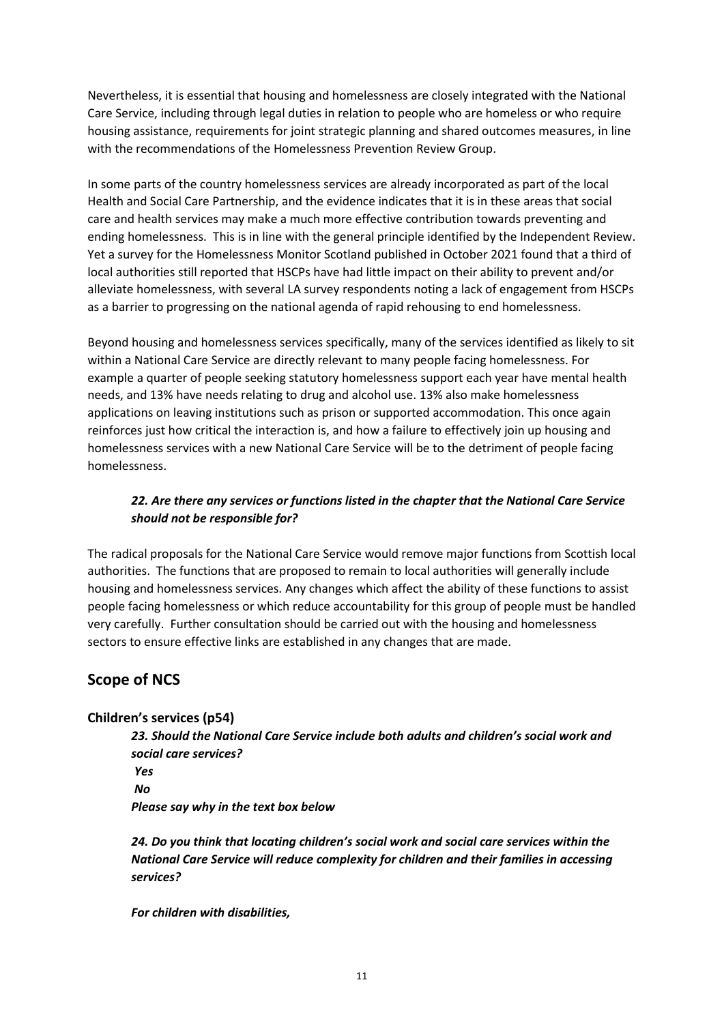Nevertheless, it is essential that housing and homelessness are closely integrated with the National Care Service, including through legal duties in relation to people who are homeless or who require housing assistance, requirements for joint strategic planning and shared outcomes measures, in line with the recommendations of the Homelessness Prevention Review Group.

In some parts of the country homelessness services are already incorporated as part of the local Health and Social Care Partnership, and the evidence indicates that it is in these areas that social care and health services may make a much more effective contribution towards preventing and ending homelessness. This is in line with the general principle identified by the Independent Review. Yet a survey for the Homelessness Monitor Scotland published in October 2021 found that a third of local authorities still reported that HSCPs have had little impact on their ability to prevent and/or alleviate homelessness, with several LA survey respondents noting a lack of engagement from HSCPs as a barrier to progressing on the national agenda of rapid rehousing to end homelessness.

Beyond housing and homelessness services specifically, many of the services identified as likely to sit within a National Care Service are directly relevant to many people facing homelessness. For example a quarter of people seeking statutory homelessness support each year have mental health needs, and 13% have needs relating to drug and alcohol use. 13% also make homelessness applications on leaving institutions such as prison or supported accommodation. This once again reinforces just how critical the interaction is, and how a failure to effectively join up housing and homelessness services with a new National Care Service will be to the detriment of people facing homelessness.

### *22. Are there any services or functions listed in the chapter that the National Care Service should not be responsible for?*

The radical proposals for the National Care Service would remove major functions from Scottish local authorities. The functions that are proposed to remain to local authorities will generally include housing and homelessness services. Any changes which affect the ability of these functions to assist people facing homelessness or which reduce accountability for this group of people must be handled very carefully. Further consultation should be carried out with the housing and homelessness sectors to ensure effective links are established in any changes that are made.

# **Scope of NCS**

#### **Children's services (p54)**

*23. Should the National Care Service include both adults and children's social work and social care services? Yes No Please say why in the text box below*

*24. Do you think that locating children's social work and social care services within the National Care Service will reduce complexity for children and their families in accessing services?*

*For children with disabilities,*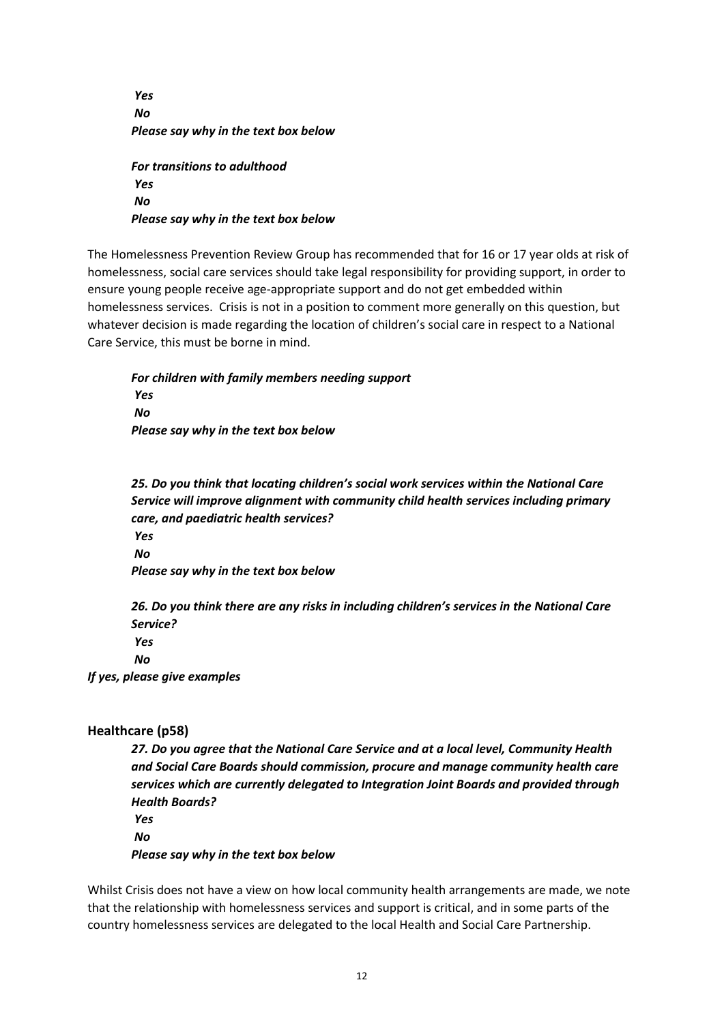*Yes No Please say why in the text box below For transitions to adulthood Yes No Please say why in the text box below*

The Homelessness Prevention Review Group has recommended that for 16 or 17 year olds at risk of homelessness, social care services should take legal responsibility for providing support, in order to ensure young people receive age-appropriate support and do not get embedded within homelessness services. Crisis is not in a position to comment more generally on this question, but whatever decision is made regarding the location of children's social care in respect to a National Care Service, this must be borne in mind.

*For children with family members needing support Yes No Please say why in the text box below*

*25. Do you think that locating children's social work services within the National Care Service will improve alignment with community child health services including primary care, and paediatric health services? Yes*

*No*

*Please say why in the text box below*

*26. Do you think there are any risks in including children's services in the National Care Service? Yes No*

*If yes, please give examples*

# **Healthcare (p58)**

*27. Do you agree that the National Care Service and at a local level, Community Health and Social Care Boards should commission, procure and manage community health care services which are currently delegated to Integration Joint Boards and provided through Health Boards? Yes*

*No*

*Please say why in the text box below*

Whilst Crisis does not have a view on how local community health arrangements are made, we note that the relationship with homelessness services and support is critical, and in some parts of the country homelessness services are delegated to the local Health and Social Care Partnership.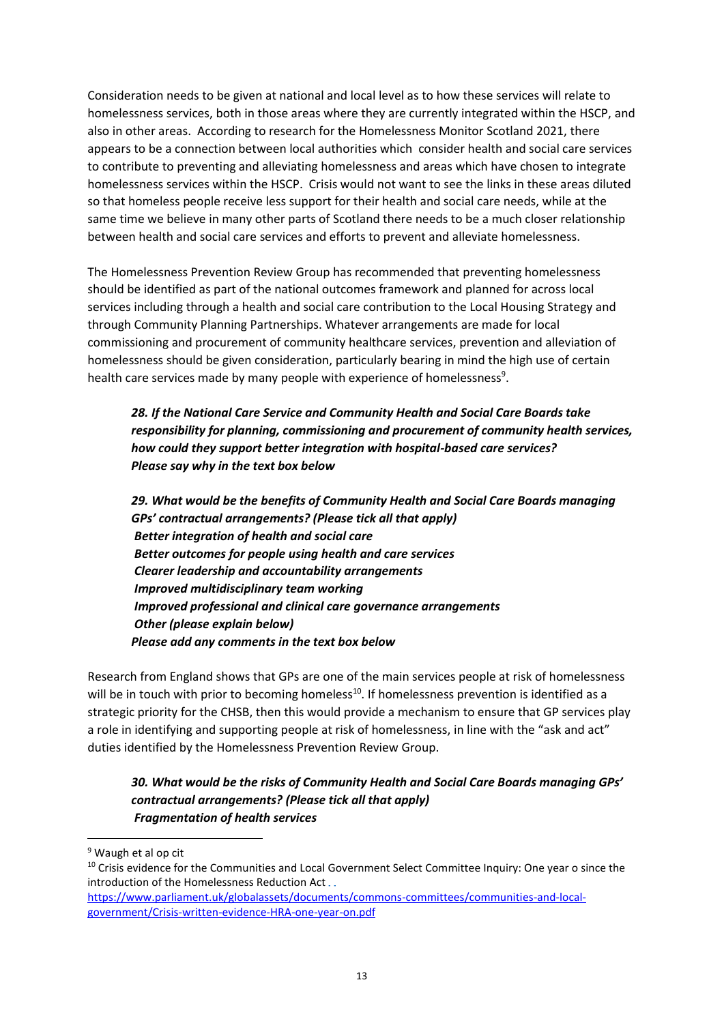Consideration needs to be given at national and local level as to how these services will relate to homelessness services, both in those areas where they are currently integrated within the HSCP, and also in other areas. According to research for the Homelessness Monitor Scotland 2021, there appears to be a connection between local authorities which consider health and social care services to contribute to preventing and alleviating homelessness and areas which have chosen to integrate homelessness services within the HSCP. Crisis would not want to see the links in these areas diluted so that homeless people receive less support for their health and social care needs, while at the same time we believe in many other parts of Scotland there needs to be a much closer relationship between health and social care services and efforts to prevent and alleviate homelessness.

The Homelessness Prevention Review Group has recommended that preventing homelessness should be identified as part of the national outcomes framework and planned for across local services including through a health and social care contribution to the Local Housing Strategy and through Community Planning Partnerships. Whatever arrangements are made for local commissioning and procurement of community healthcare services, prevention and alleviation of homelessness should be given consideration, particularly bearing in mind the high use of certain health care services made by many people with experience of homelessness<sup>9</sup>.

*28. If the National Care Service and Community Health and Social Care Boards take responsibility for planning, commissioning and procurement of community health services, how could they support better integration with hospital-based care services? Please say why in the text box below*

*29. What would be the benefits of Community Health and Social Care Boards managing GPs' contractual arrangements? (Please tick all that apply) Better integration of health and social care Better outcomes for people using health and care services Clearer leadership and accountability arrangements Improved multidisciplinary team working Improved professional and clinical care governance arrangements Other (please explain below) Please add any comments in the text box below*

Research from England shows that GPs are one of the main services people at risk of homelessness will be in touch with prior to becoming homeless<sup>10</sup>. If homelessness prevention is identified as a strategic priority for the CHSB, then this would provide a mechanism to ensure that GP services play a role in identifying and supporting people at risk of homelessness, in line with the "ask and act" duties identified by the Homelessness Prevention Review Group.

*30. What would be the risks of Community Health and Social Care Boards managing GPs' contractual arrangements? (Please tick all that apply) Fragmentation of health services*

<sup>9</sup> Waugh et al op cit

<sup>&</sup>lt;sup>10</sup> Crisis evidence for the Communities and Local Government Select Committee Inquiry: One year o since the introduction of the Homelessness Reduction Act...

[https://www.parliament.uk/globalassets/documents/commons-committees/communities-and-local](https://www.parliament.uk/globalassets/documents/commons-committees/communities-and-local-government/Crisis-written-evidence-HRA-one-year-on.pdf)[government/Crisis-written-evidence-HRA-one-year-on.pdf](https://www.parliament.uk/globalassets/documents/commons-committees/communities-and-local-government/Crisis-written-evidence-HRA-one-year-on.pdf)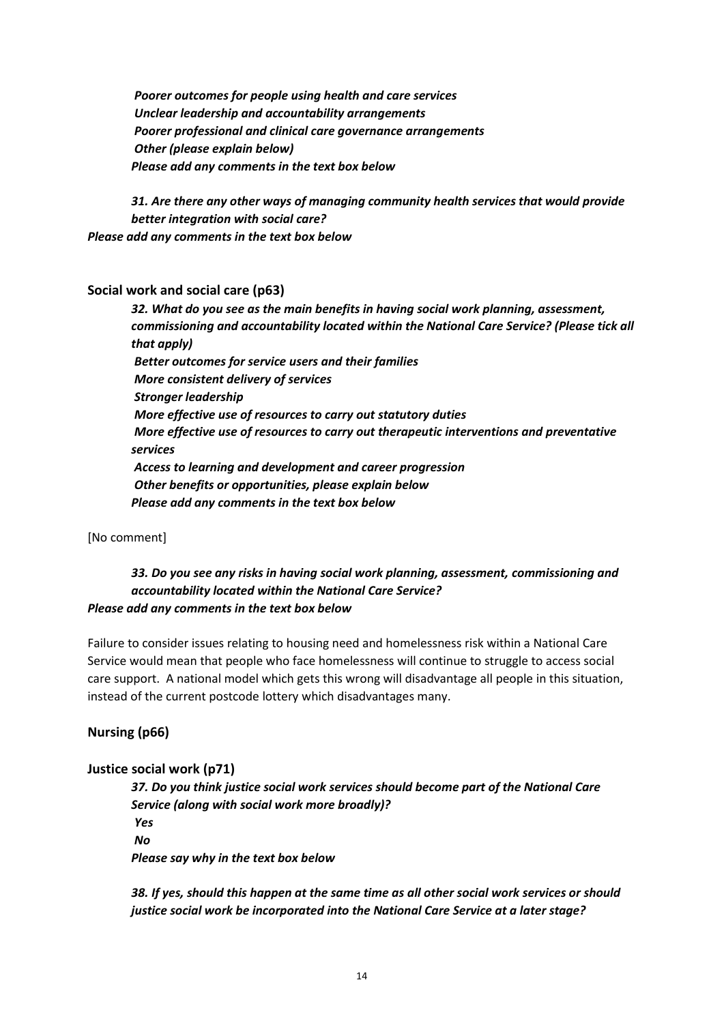*Poorer outcomes for people using health and care services Unclear leadership and accountability arrangements Poorer professional and clinical care governance arrangements Other (please explain below) Please add any comments in the text box below*

*31. Are there any other ways of managing community health services that would provide better integration with social care? Please add any comments in the text box below*

#### **Social work and social care (p63)**

*32. What do you see as the main benefits in having social work planning, assessment, commissioning and accountability located within the National Care Service? (Please tick all that apply) Better outcomes for service users and their families More consistent delivery of services Stronger leadership More effective use of resources to carry out statutory duties More effective use of resources to carry out therapeutic interventions and preventative services Access to learning and development and career progression Other benefits or opportunities, please explain below Please add any comments in the text box below*

[No comment]

### *33. Do you see any risks in having social work planning, assessment, commissioning and accountability located within the National Care Service? Please add any comments in the text box below*

Failure to consider issues relating to housing need and homelessness risk within a National Care Service would mean that people who face homelessness will continue to struggle to access social care support. A national model which gets this wrong will disadvantage all people in this situation, instead of the current postcode lottery which disadvantages many.

# **Nursing (p66)**

#### **Justice social work (p71)**

*37. Do you think justice social work services should become part of the National Care Service (along with social work more broadly)? Yes No Please say why in the text box below*

*38. If yes, should this happen at the same time as all other social work services or should justice social work be incorporated into the National Care Service at a later stage?*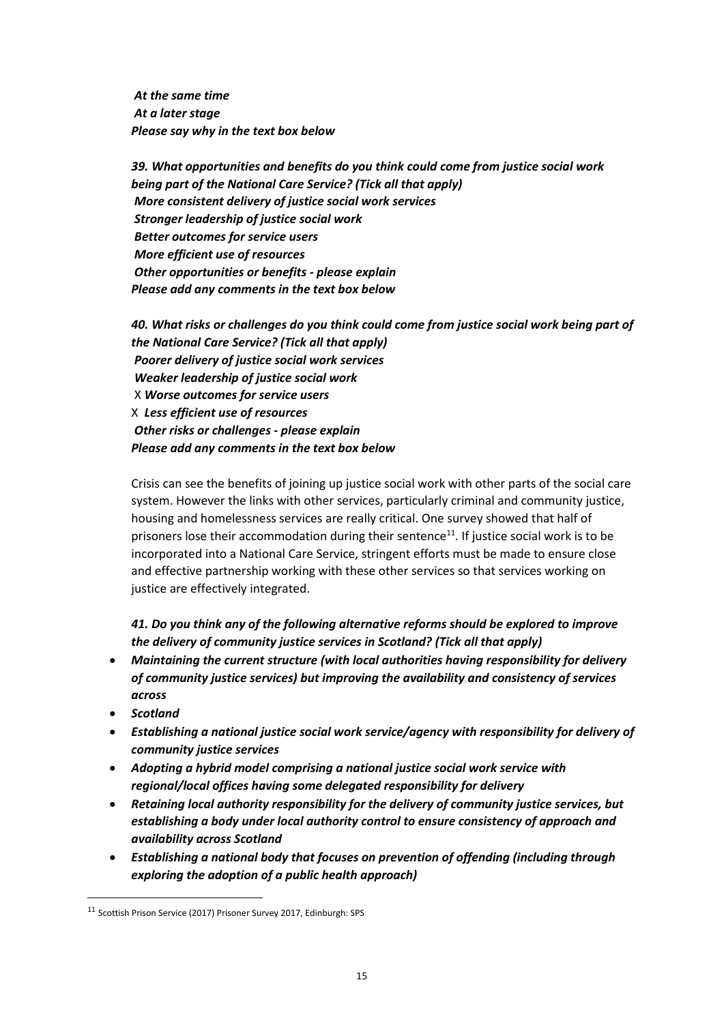*At the same time At a later stage Please say why in the text box below*

*39. What opportunities and benefits do you think could come from justice social work being part of the National Care Service? (Tick all that apply) More consistent delivery of justice social work services Stronger leadership of justice social work Better outcomes for service users More efficient use of resources Other opportunities or benefits - please explain Please add any comments in the text box below*

*40. What risks or challenges do you think could come from justice social work being part of the National Care Service? (Tick all that apply) Poorer delivery of justice social work services Weaker leadership of justice social work* X *Worse outcomes for service users* X *Less efficient use of resources Other risks or challenges - please explain Please add any comments in the text box below*

Crisis can see the benefits of joining up justice social work with other parts of the social care system. However the links with other services, particularly criminal and community justice, housing and homelessness services are really critical. One survey showed that half of prisoners lose their accommodation during their sentence<sup>11</sup>. If justice social work is to be incorporated into a National Care Service, stringent efforts must be made to ensure close and effective partnership working with these other services so that services working on justice are effectively integrated.

*41. Do you think any of the following alternative reforms should be explored to improve the delivery of community justice services in Scotland? (Tick all that apply)*

- *Maintaining the current structure (with local authorities having responsibility for delivery of community justice services) but improving the availability and consistency of services across*
- *Scotland*
- *Establishing a national justice social work service/agency with responsibility for delivery of community justice services*
- *Adopting a hybrid model comprising a national justice social work service with regional/local offices having some delegated responsibility for delivery*
- *Retaining local authority responsibility for the delivery of community justice services, but establishing a body under local authority control to ensure consistency of approach and availability across Scotland*
- *Establishing a national body that focuses on prevention of offending (including through exploring the adoption of a public health approach)*

<sup>11</sup> Scottish Prison Service (2017) Prisoner Survey 2017, Edinburgh: SPS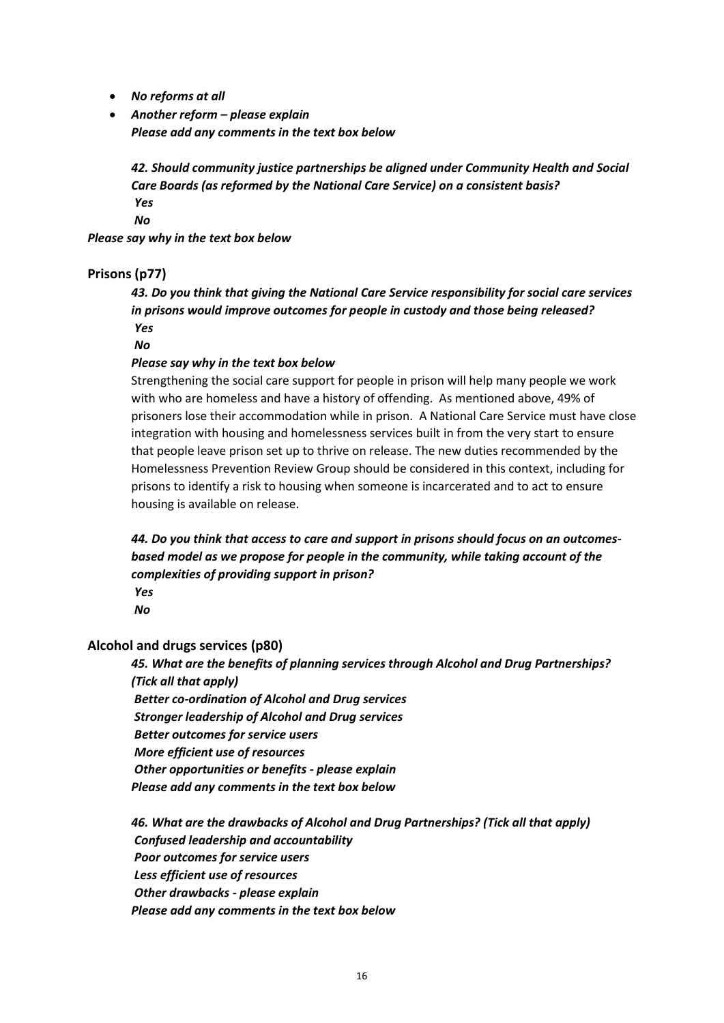- *No reforms at all*
- *Another reform – please explain Please add any comments in the text box below*

*42. Should community justice partnerships be aligned under Community Health and Social Care Boards (as reformed by the National Care Service) on a consistent basis? Yes*

*No*

*Please say why in the text box below*

#### **Prisons (p77)**

*43. Do you think that giving the National Care Service responsibility for social care services in prisons would improve outcomes for people in custody and those being released? Yes*

*No*

#### *Please say why in the text box below*

Strengthening the social care support for people in prison will help many people we work with who are homeless and have a history of offending. As mentioned above, 49% of prisoners lose their accommodation while in prison. A National Care Service must have close integration with housing and homelessness services built in from the very start to ensure that people leave prison set up to thrive on release. The new duties recommended by the Homelessness Prevention Review Group should be considered in this context, including for prisons to identify a risk to housing when someone is incarcerated and to act to ensure housing is available on release.

*44. Do you think that access to care and support in prisons should focus on an outcomesbased model as we propose for people in the community, while taking account of the complexities of providing support in prison?*

*Yes*

*No*

#### **Alcohol and drugs services (p80)**

*45. What are the benefits of planning services through Alcohol and Drug Partnerships? (Tick all that apply) Better co-ordination of Alcohol and Drug services*

*Stronger leadership of Alcohol and Drug services*

*Better outcomes for service users*

*More efficient use of resources*

*Other opportunities or benefits - please explain*

*Please add any comments in the text box below*

*46. What are the drawbacks of Alcohol and Drug Partnerships? (Tick all that apply) Confused leadership and accountability Poor outcomes for service users Less efficient use of resources Other drawbacks - please explain Please add any comments in the text box below*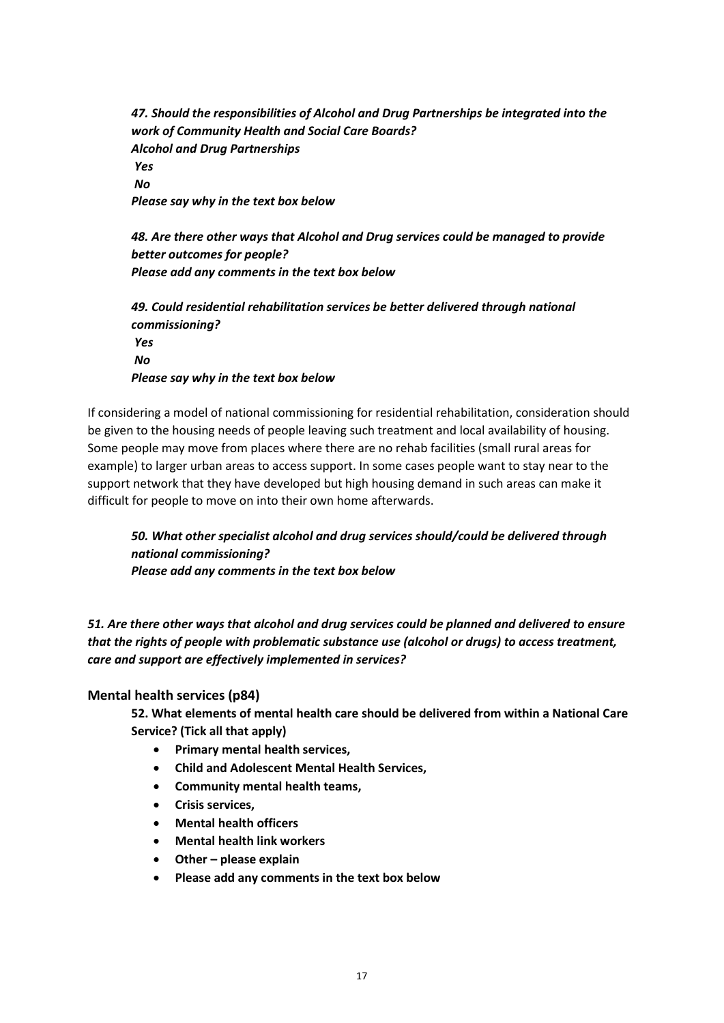*47. Should the responsibilities of Alcohol and Drug Partnerships be integrated into the work of Community Health and Social Care Boards? Alcohol and Drug Partnerships Yes No Please say why in the text box below*

*48. Are there other ways that Alcohol and Drug services could be managed to provide better outcomes for people? Please add any comments in the text box below*

*49. Could residential rehabilitation services be better delivered through national commissioning? Yes No Please say why in the text box below*

If considering a model of national commissioning for residential rehabilitation, consideration should be given to the housing needs of people leaving such treatment and local availability of housing. Some people may move from places where there are no rehab facilities (small rural areas for example) to larger urban areas to access support. In some cases people want to stay near to the support network that they have developed but high housing demand in such areas can make it difficult for people to move on into their own home afterwards.

*50. What other specialist alcohol and drug services should/could be delivered through national commissioning? Please add any comments in the text box below*

*51. Are there other ways that alcohol and drug services could be planned and delivered to ensure that the rights of people with problematic substance use (alcohol or drugs) to access treatment, care and support are effectively implemented in services?*

#### **Mental health services (p84)**

**52. What elements of mental health care should be delivered from within a National Care Service? (Tick all that apply)**

- **Primary mental health services,**
- **Child and Adolescent Mental Health Services,**
- **Community mental health teams,**
- **Crisis services,**
- **Mental health officers**
- **Mental health link workers**
- **Other – please explain**
- **Please add any comments in the text box below**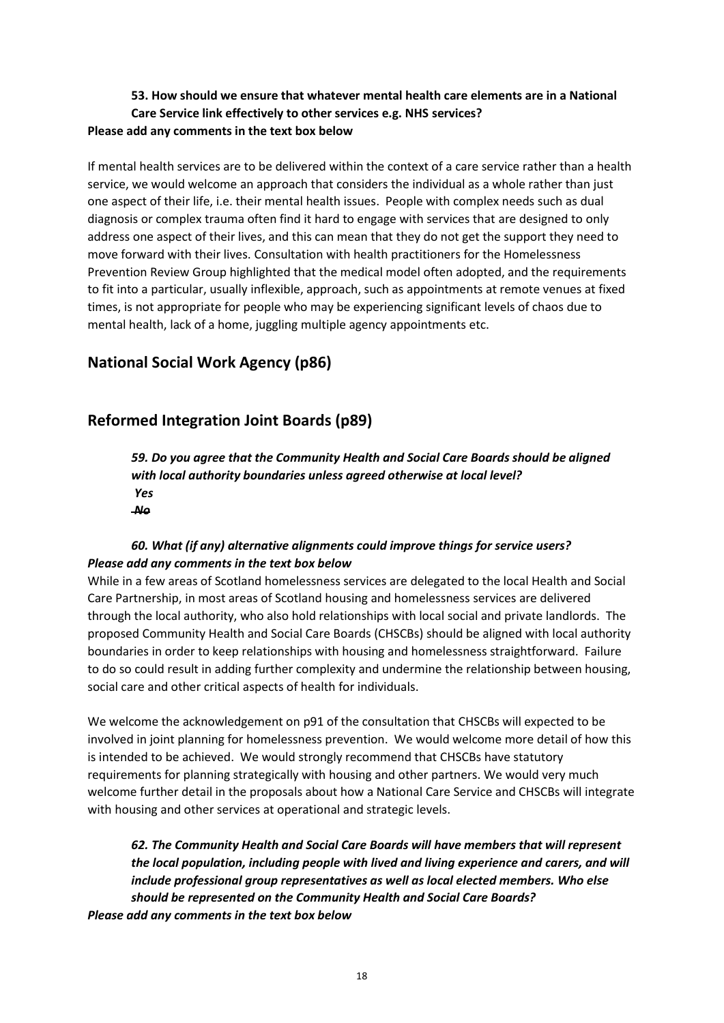## **53. How should we ensure that whatever mental health care elements are in a National Care Service link effectively to other services e.g. NHS services? Please add any comments in the text box below**

If mental health services are to be delivered within the context of a care service rather than a health service, we would welcome an approach that considers the individual as a whole rather than just one aspect of their life, i.e. their mental health issues. People with complex needs such as dual diagnosis or complex trauma often find it hard to engage with services that are designed to only address one aspect of their lives, and this can mean that they do not get the support they need to move forward with their lives. Consultation with health practitioners for the Homelessness Prevention Review Group highlighted that the medical model often adopted, and the requirements to fit into a particular, usually inflexible, approach, such as appointments at remote venues at fixed times, is not appropriate for people who may be experiencing significant levels of chaos due to mental health, lack of a home, juggling multiple agency appointments etc.

# **National Social Work Agency (p86)**

# **Reformed Integration Joint Boards (p89)**

*59. Do you agree that the Community Health and Social Care Boards should be aligned with local authority boundaries unless agreed otherwise at local level? Yes No*

# *60. What (if any) alternative alignments could improve things for service users? Please add any comments in the text box below*

While in a few areas of Scotland homelessness services are delegated to the local Health and Social Care Partnership, in most areas of Scotland housing and homelessness services are delivered through the local authority, who also hold relationships with local social and private landlords. The proposed Community Health and Social Care Boards (CHSCBs) should be aligned with local authority boundaries in order to keep relationships with housing and homelessness straightforward. Failure to do so could result in adding further complexity and undermine the relationship between housing, social care and other critical aspects of health for individuals.

We welcome the acknowledgement on p91 of the consultation that CHSCBs will expected to be involved in joint planning for homelessness prevention. We would welcome more detail of how this is intended to be achieved. We would strongly recommend that CHSCBs have statutory requirements for planning strategically with housing and other partners. We would very much welcome further detail in the proposals about how a National Care Service and CHSCBs will integrate with housing and other services at operational and strategic levels.

*62. The Community Health and Social Care Boards will have members that will represent the local population, including people with lived and living experience and carers, and will include professional group representatives as well as local elected members. Who else should be represented on the Community Health and Social Care Boards? Please add any comments in the text box below*